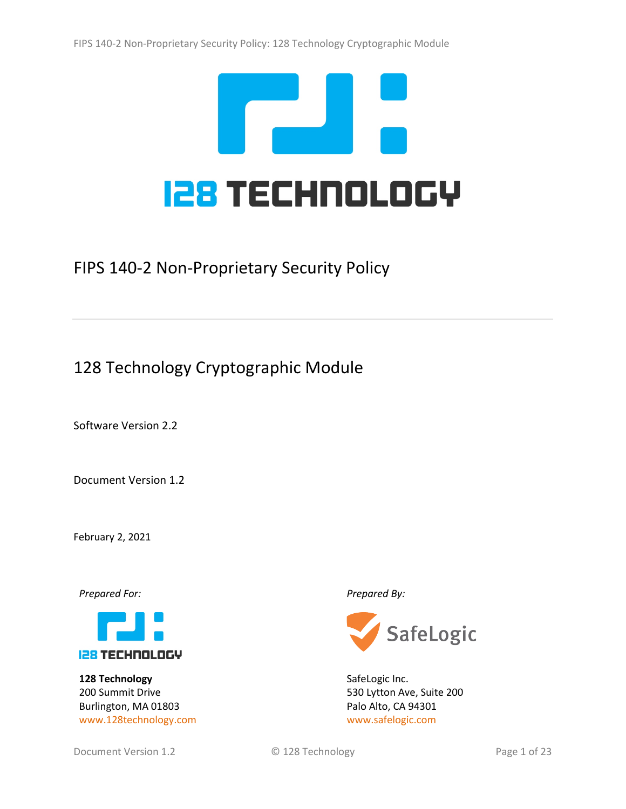

FIPS 140-2 Non-Proprietary Security Policy

# 128 Technology Cryptographic Module

Software Version 2.2

Document Version 1.2

February 2, 2021

*Prepared For: Prepared By:*



**128 Technology** 200 Summit Drive Burlington, MA 01803 [www.128technology.com](http://www.128technology.com/)



SafeLogic Inc. 530 Lytton Ave, Suite 200 Palo Alto, CA 94301 [www.safelogic.com](http://www.safelogic.com/)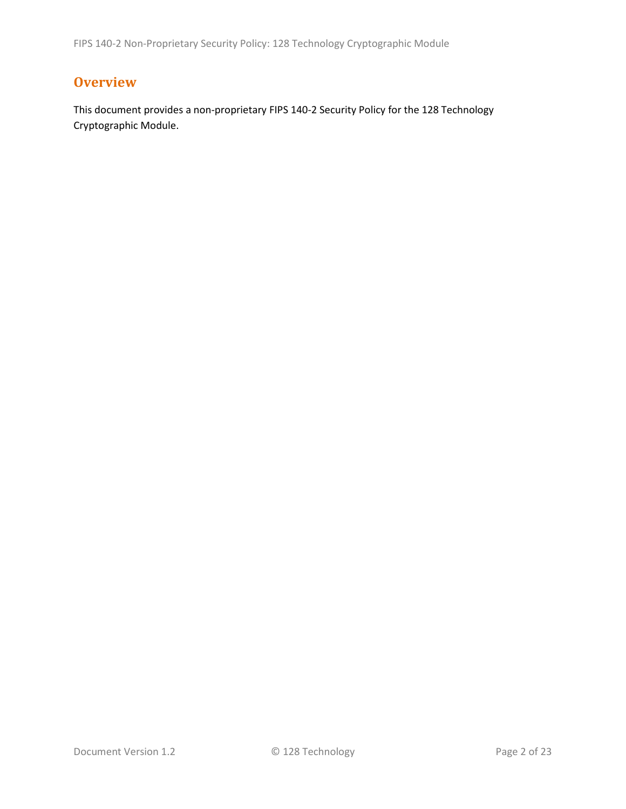## **Overview**

This document provides a non-proprietary FIPS 140-2 Security Policy for the 128 Technology Cryptographic Module.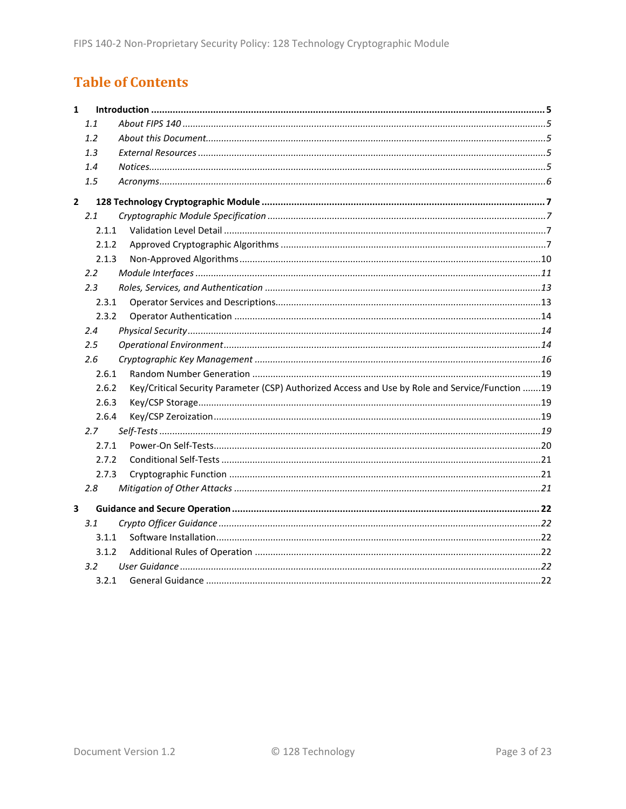# **Table of Contents**

| $\mathbf{1}$            |       |                                                                                                 |  |
|-------------------------|-------|-------------------------------------------------------------------------------------------------|--|
|                         | 1.1   |                                                                                                 |  |
|                         | 1.2   |                                                                                                 |  |
|                         | 1.3   |                                                                                                 |  |
|                         | 1.4   |                                                                                                 |  |
|                         | 1.5   |                                                                                                 |  |
| $\overline{2}$          |       |                                                                                                 |  |
|                         | 2.1   |                                                                                                 |  |
|                         | 2.1.1 |                                                                                                 |  |
|                         | 2.1.2 |                                                                                                 |  |
|                         | 2.1.3 |                                                                                                 |  |
|                         | 2.2   |                                                                                                 |  |
|                         | 2.3   |                                                                                                 |  |
|                         | 2.3.1 |                                                                                                 |  |
|                         | 2.3.2 |                                                                                                 |  |
|                         | 2.4   |                                                                                                 |  |
|                         | 2.5   |                                                                                                 |  |
|                         | 2.6   |                                                                                                 |  |
|                         | 2.6.1 |                                                                                                 |  |
|                         | 2.6.2 | Key/Critical Security Parameter (CSP) Authorized Access and Use by Role and Service/Function 19 |  |
|                         | 2.6.3 |                                                                                                 |  |
|                         | 2.6.4 |                                                                                                 |  |
|                         | 2.7   |                                                                                                 |  |
|                         | 2.7.1 |                                                                                                 |  |
|                         | 2.7.2 |                                                                                                 |  |
|                         | 2.7.3 |                                                                                                 |  |
|                         | 2.8   |                                                                                                 |  |
| $\overline{\mathbf{3}}$ |       |                                                                                                 |  |
|                         | 3.1   |                                                                                                 |  |
|                         | 3.1.1 |                                                                                                 |  |
|                         | 3.1.2 |                                                                                                 |  |
|                         | 3.2   |                                                                                                 |  |
|                         | 3.2.1 |                                                                                                 |  |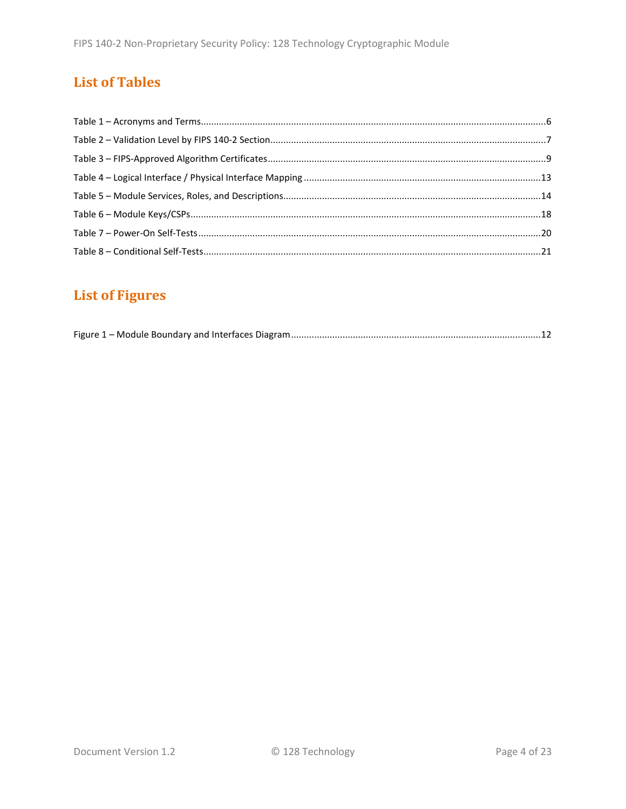# **List of Tables**

# **List of Figures**

|--|--|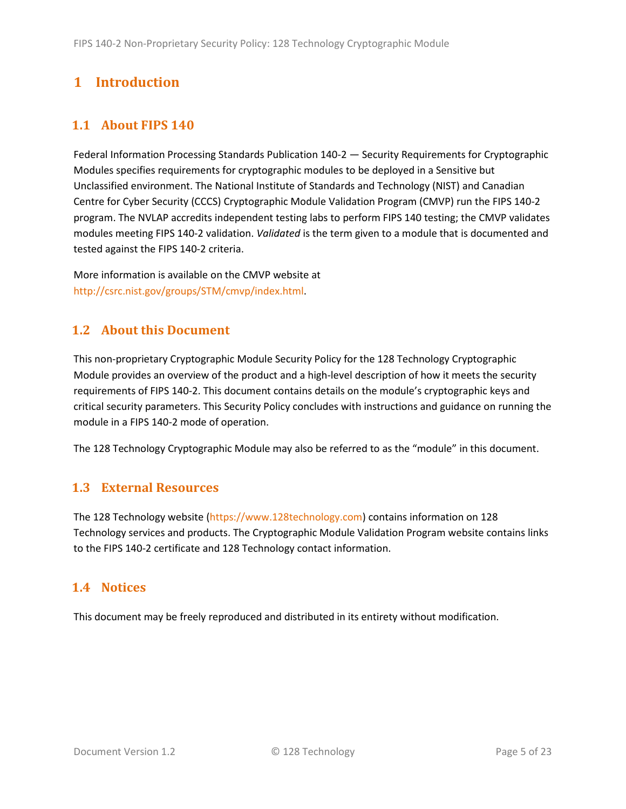## <span id="page-4-0"></span>**1 Introduction**

## <span id="page-4-1"></span>**1.1 About FIPS 140**

Federal Information Processing Standards Publication 140-2 — Security Requirements for Cryptographic Modules specifies requirements for cryptographic modules to be deployed in a Sensitive but Unclassified environment. The National Institute of Standards and Technology (NIST) and Canadian Centre for Cyber Security (CCCS) Cryptographic Module Validation Program (CMVP) run the FIPS 140-2 program. The NVLAP accredits independent testing labs to perform FIPS 140 testing; the CMVP validates modules meeting FIPS 140-2 validation. *Validated* is the term given to a module that is documented and tested against the FIPS 140-2 criteria.

More information is available on the CMVP website at [http://csrc.nist.gov/groups/STM/cmvp/index.html.](http://csrc.nist.gov/groups/STM/cmvp/index.html)

### <span id="page-4-2"></span>**1.2 About this Document**

This non-proprietary Cryptographic Module Security Policy for the 128 Technology Cryptographic Module provides an overview of the product and a high-level description of how it meets the security requirements of FIPS 140-2. This document contains details on the module's cryptographic keys and critical security parameters. This Security Policy concludes with instructions and guidance on running the module in a FIPS 140-2 mode of operation.

The 128 Technology Cryptographic Module may also be referred to as the "module" in this document.

### <span id="page-4-3"></span>**1.3 External Resources**

The 128 Technology website [\(https://www.128technology.com\)](https://www.128technology.com/) contains information on 128 Technology services and products. The Cryptographic Module Validation Program website contains links to the FIPS 140-2 certificate and 128 Technology contact information.

#### <span id="page-4-4"></span>**1.4 Notices**

This document may be freely reproduced and distributed in its entirety without modification.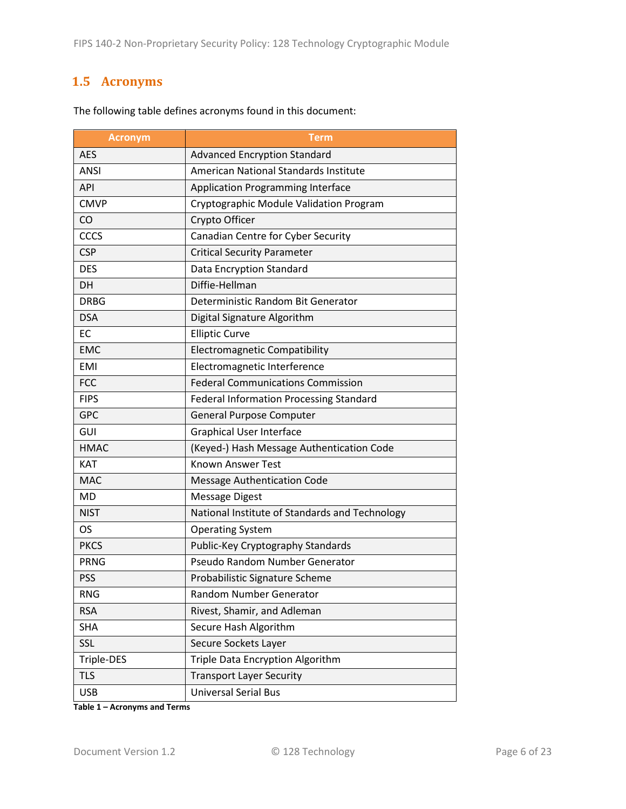## <span id="page-5-0"></span>**1.5 Acronyms**

| <b>Acronym</b> | <b>Term</b>                                    |
|----------------|------------------------------------------------|
| <b>AES</b>     | <b>Advanced Encryption Standard</b>            |
| <b>ANSI</b>    | American National Standards Institute          |
| <b>API</b>     | <b>Application Programming Interface</b>       |
| <b>CMVP</b>    | Cryptographic Module Validation Program        |
| CO             | Crypto Officer                                 |
| CCCS           | Canadian Centre for Cyber Security             |
| <b>CSP</b>     | <b>Critical Security Parameter</b>             |
| <b>DES</b>     | Data Encryption Standard                       |
| DH             | Diffie-Hellman                                 |
| <b>DRBG</b>    | Deterministic Random Bit Generator             |
| <b>DSA</b>     | Digital Signature Algorithm                    |
| EC             | <b>Elliptic Curve</b>                          |
| <b>EMC</b>     | <b>Electromagnetic Compatibility</b>           |
| <b>EMI</b>     | Electromagnetic Interference                   |
| <b>FCC</b>     | <b>Federal Communications Commission</b>       |
| <b>FIPS</b>    | <b>Federal Information Processing Standard</b> |
| <b>GPC</b>     | <b>General Purpose Computer</b>                |
| GUI            | <b>Graphical User Interface</b>                |
| <b>HMAC</b>    | (Keyed-) Hash Message Authentication Code      |
| <b>KAT</b>     | <b>Known Answer Test</b>                       |
| <b>MAC</b>     | <b>Message Authentication Code</b>             |
| <b>MD</b>      | <b>Message Digest</b>                          |
| <b>NIST</b>    | National Institute of Standards and Technology |
| OS             | <b>Operating System</b>                        |
| <b>PKCS</b>    | Public-Key Cryptography Standards              |
| <b>PRNG</b>    | Pseudo Random Number Generator                 |
| <b>PSS</b>     | Probabilistic Signature Scheme                 |
| <b>RNG</b>     | Random Number Generator                        |
| <b>RSA</b>     | Rivest, Shamir, and Adleman                    |
| <b>SHA</b>     | Secure Hash Algorithm                          |
| SSL            | Secure Sockets Layer                           |
| Triple-DES     | Triple Data Encryption Algorithm               |
| <b>TLS</b>     | <b>Transport Layer Security</b>                |
| <b>USB</b>     | <b>Universal Serial Bus</b>                    |

The following table defines acronyms found in this document:

**Table 1 – Acronyms and Terms**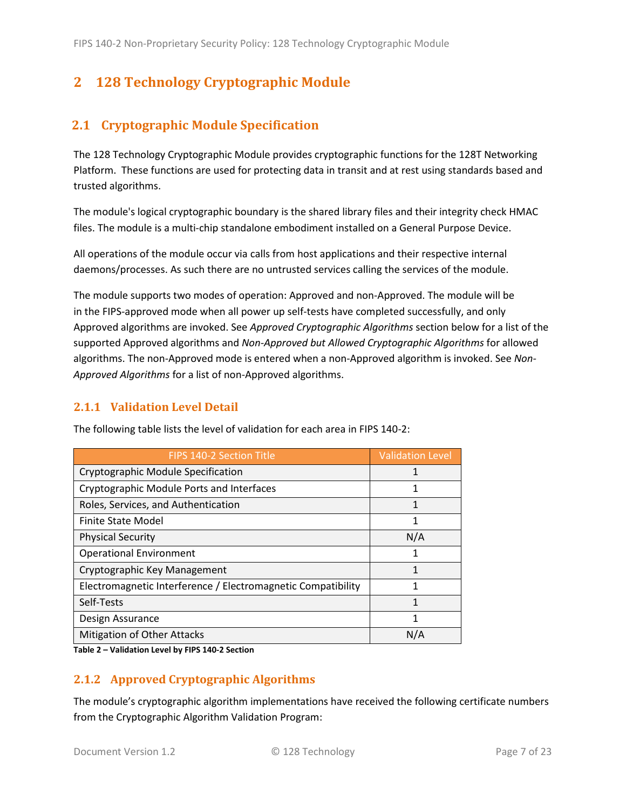# <span id="page-6-0"></span>**2 128 Technology Cryptographic Module**

## <span id="page-6-1"></span>**2.1 Cryptographic Module Specification**

The 128 Technology Cryptographic Module provides cryptographic functions for the 128T Networking Platform. These functions are used for protecting data in transit and at rest using standards based and trusted algorithms.

The module's logical cryptographic boundary is the shared library files and their integrity check HMAC files. The module is a multi-chip standalone embodiment installed on a General Purpose Device.

All operations of the module occur via calls from host applications and their respective internal daemons/processes. As such there are no untrusted services calling the services of the module.

The module supports two modes of operation: Approved and non-Approved. The module will be in the FIPS-approved mode when all power up self-tests have completed successfully, and only Approved algorithms are invoked. See *Approved Cryptographic Algorithms* section below for a list of the supported Approved algorithms and *Non-Approved but Allowed Cryptographic Algorithms* for allowed algorithms. The non-Approved mode is entered when a non-Approved algorithm is invoked. See *Non-Approved Algorithms* for a list of non-Approved algorithms.

### <span id="page-6-2"></span>**2.1.1 Validation Level Detail**

| <b>FIPS 140-2 Section Title</b>                              | <b>Validation Level</b> |
|--------------------------------------------------------------|-------------------------|
| Cryptographic Module Specification                           |                         |
| Cryptographic Module Ports and Interfaces                    | 1                       |
| Roles, Services, and Authentication                          | 1                       |
| <b>Finite State Model</b>                                    | 1                       |
| <b>Physical Security</b>                                     | N/A                     |
| <b>Operational Environment</b>                               |                         |
| Cryptographic Key Management                                 | 1                       |
| Electromagnetic Interference / Electromagnetic Compatibility | 1                       |
| Self-Tests                                                   | 1                       |
| Design Assurance                                             | 1                       |
| Mitigation of Other Attacks                                  | N/A                     |

The following table lists the level of validation for each area in FIPS 140-2:

**Table 2 – Validation Level by FIPS 140-2 Section**

#### <span id="page-6-3"></span>**2.1.2 Approved Cryptographic Algorithms**

The module's cryptographic algorithm implementations have received the following certificate numbers from the Cryptographic Algorithm Validation Program: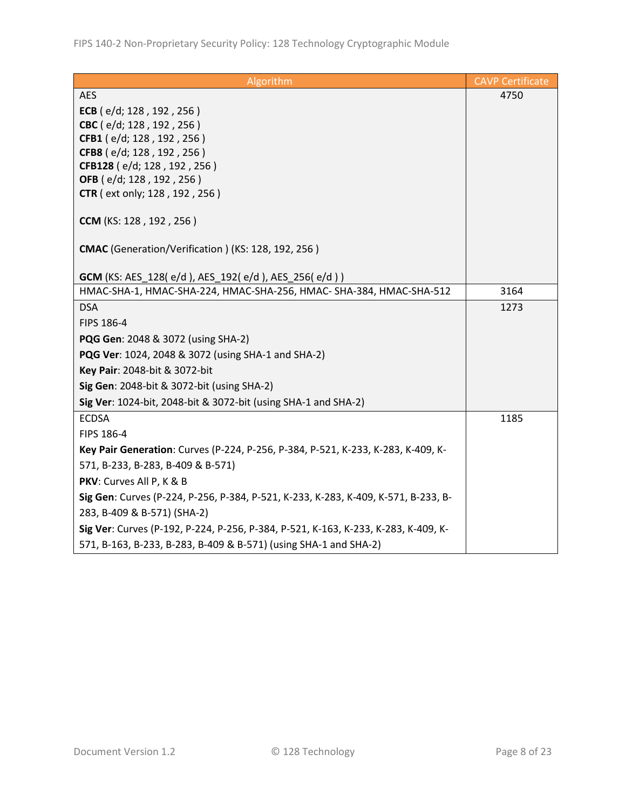| Algorithm                                                                          | <b>CAVP Certificate</b> |
|------------------------------------------------------------------------------------|-------------------------|
| <b>AES</b>                                                                         | 4750                    |
| ECB (e/d; 128, 192, 256)                                                           |                         |
| CBC (e/d; 128, 192, 256)                                                           |                         |
| CFB1 (e/d; 128, 192, 256)                                                          |                         |
| CFB8 (e/d; 128, 192, 256)                                                          |                         |
| CFB128 (e/d; 128, 192, 256)<br>OFB (e/d; 128, 192, 256)                            |                         |
| <b>CTR</b> (ext only; 128, 192, 256)                                               |                         |
|                                                                                    |                         |
| CCM (KS: 128, 192, 256)                                                            |                         |
| CMAC (Generation/Verification) (KS: 128, 192, 256)                                 |                         |
|                                                                                    |                         |
| <b>GCM</b> (KS: AES_128(e/d), AES_192(e/d), AES_256(e/d))                          |                         |
| HMAC-SHA-1, HMAC-SHA-224, HMAC-SHA-256, HMAC- SHA-384, HMAC-SHA-512                | 3164                    |
| <b>DSA</b>                                                                         | 1273                    |
| FIPS 186-4                                                                         |                         |
| PQG Gen: 2048 & 3072 (using SHA-2)                                                 |                         |
| PQG Ver: 1024, 2048 & 3072 (using SHA-1 and SHA-2)                                 |                         |
| Key Pair: 2048-bit & 3072-bit                                                      |                         |
| Sig Gen: 2048-bit & 3072-bit (using SHA-2)                                         |                         |
| Sig Ver: 1024-bit, 2048-bit & 3072-bit (using SHA-1 and SHA-2)                     |                         |
| <b>ECDSA</b>                                                                       | 1185                    |
| FIPS 186-4                                                                         |                         |
| Key Pair Generation: Curves (P-224, P-256, P-384, P-521, K-233, K-283, K-409, K-   |                         |
| 571, B-233, B-283, B-409 & B-571)                                                  |                         |
| PKV: Curves All P, K & B                                                           |                         |
| Sig Gen: Curves (P-224, P-256, P-384, P-521, K-233, K-283, K-409, K-571, B-233, B- |                         |
| 283, B-409 & B-571) (SHA-2)                                                        |                         |
| Sig Ver: Curves (P-192, P-224, P-256, P-384, P-521, K-163, K-233, K-283, K-409, K- |                         |
| 571, B-163, B-233, B-283, B-409 & B-571) (using SHA-1 and SHA-2)                   |                         |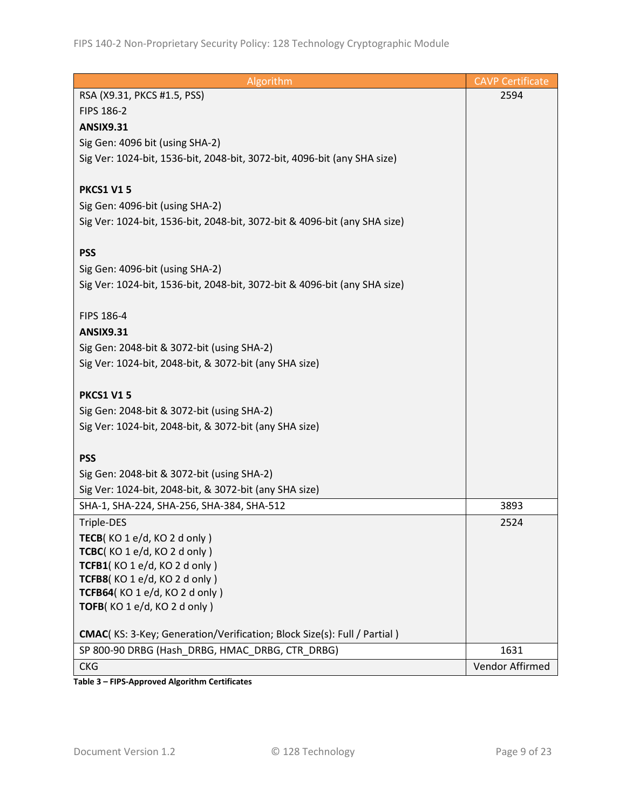| Algorithm                                                                 | <b>CAVP Certificate</b> |
|---------------------------------------------------------------------------|-------------------------|
| RSA (X9.31, PKCS #1.5, PSS)                                               | 2594                    |
| <b>FIPS 186-2</b>                                                         |                         |
| <b>ANSIX9.31</b>                                                          |                         |
| Sig Gen: 4096 bit (using SHA-2)                                           |                         |
| Sig Ver: 1024-bit, 1536-bit, 2048-bit, 3072-bit, 4096-bit (any SHA size)  |                         |
|                                                                           |                         |
| <b>PKCS1 V15</b>                                                          |                         |
| Sig Gen: 4096-bit (using SHA-2)                                           |                         |
| Sig Ver: 1024-bit, 1536-bit, 2048-bit, 3072-bit & 4096-bit (any SHA size) |                         |
|                                                                           |                         |
| <b>PSS</b>                                                                |                         |
| Sig Gen: 4096-bit (using SHA-2)                                           |                         |
| Sig Ver: 1024-bit, 1536-bit, 2048-bit, 3072-bit & 4096-bit (any SHA size) |                         |
|                                                                           |                         |
| FIPS 186-4                                                                |                         |
| <b>ANSIX9.31</b>                                                          |                         |
| Sig Gen: 2048-bit & 3072-bit (using SHA-2)                                |                         |
| Sig Ver: 1024-bit, 2048-bit, & 3072-bit (any SHA size)                    |                         |
|                                                                           |                         |
| <b>PKCS1 V15</b>                                                          |                         |
| Sig Gen: 2048-bit & 3072-bit (using SHA-2)                                |                         |
| Sig Ver: 1024-bit, 2048-bit, & 3072-bit (any SHA size)                    |                         |
|                                                                           |                         |
| <b>PSS</b>                                                                |                         |
| Sig Gen: 2048-bit & 3072-bit (using SHA-2)                                |                         |
| Sig Ver: 1024-bit, 2048-bit, & 3072-bit (any SHA size)                    |                         |
| SHA-1, SHA-224, SHA-256, SHA-384, SHA-512                                 | 3893                    |
| Triple-DES                                                                | 2524                    |
| TECB(KO1e/d, KO2d only)                                                   |                         |
| TCBC(KO 1 e/d, KO 2 d only)                                               |                         |
| TCFB1(KO 1 e/d, KO 2 d only)                                              |                         |
| TCFB8(KO 1 e/d, KO 2 d only)                                              |                         |
| TCFB64(KO 1 e/d, KO 2 d only)<br>TOFB(KO1e/d, KO2donly)                   |                         |
|                                                                           |                         |
| CMAC(KS: 3-Key; Generation/Verification; Block Size(s): Full / Partial)   |                         |
| SP 800-90 DRBG (Hash_DRBG, HMAC_DRBG, CTR_DRBG)                           | 1631                    |
| <b>CKG</b>                                                                | Vendor Affirmed         |
|                                                                           |                         |

**Table 3 – FIPS-Approved Algorithm Certificates**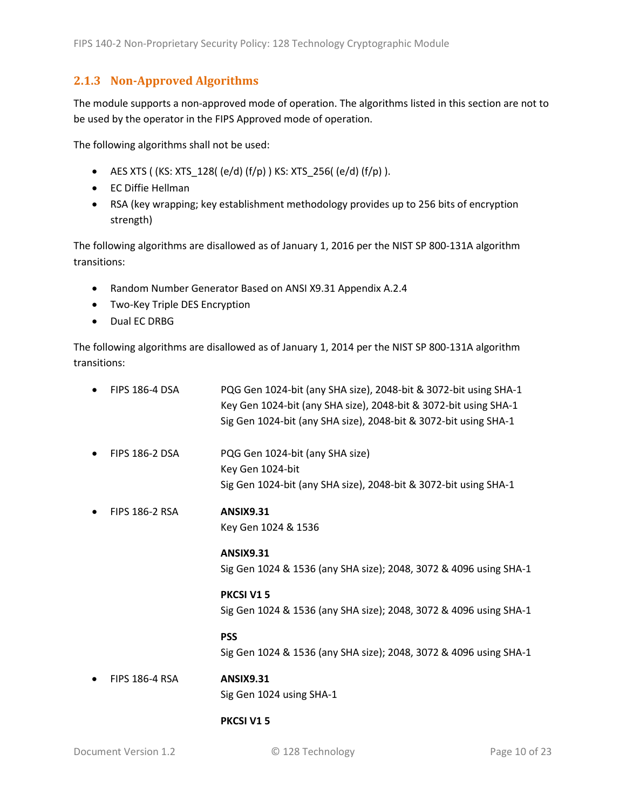### <span id="page-9-0"></span>**2.1.3 Non-Approved Algorithms**

The module supports a non-approved mode of operation. The algorithms listed in this section are not to be used by the operator in the FIPS Approved mode of operation.

The following algorithms shall not be used:

- AES XTS (  $(KS: XTS_128$  (  $(e/d)$   $(f/p)$  )  $KS: XTS_256$  ( $(e/d)$   $(f/p)$  ).
- EC Diffie Hellman
- RSA (key wrapping; key establishment methodology provides up to 256 bits of encryption strength)

The following algorithms are disallowed as of January 1, 2016 per the NIST SP 800-131A algorithm transitions:

- Random Number Generator Based on ANSI X9.31 Appendix A.2.4
- Two-Key Triple DES Encryption
- Dual EC DRBG

The following algorithms are disallowed as of January 1, 2014 per the NIST SP 800-131A algorithm transitions:

| <b>FIPS 186-4 DSA</b> | PQG Gen 1024-bit (any SHA size), 2048-bit & 3072-bit using SHA-1<br>Key Gen 1024-bit (any SHA size), 2048-bit & 3072-bit using SHA-1<br>Sig Gen 1024-bit (any SHA size), 2048-bit & 3072-bit using SHA-1 |
|-----------------------|----------------------------------------------------------------------------------------------------------------------------------------------------------------------------------------------------------|
| <b>FIPS 186-2 DSA</b> | PQG Gen 1024-bit (any SHA size)<br>Key Gen 1024-bit<br>Sig Gen 1024-bit (any SHA size), 2048-bit & 3072-bit using SHA-1                                                                                  |
| <b>FIPS 186-2 RSA</b> | <b>ANSIX9.31</b><br>Key Gen 1024 & 1536                                                                                                                                                                  |
|                       | <b>ANSIX9.31</b><br>Sig Gen 1024 & 1536 (any SHA size); 2048, 3072 & 4096 using SHA-1                                                                                                                    |
|                       | <b>PKCSI V15</b><br>Sig Gen 1024 & 1536 (any SHA size); 2048, 3072 & 4096 using SHA-1                                                                                                                    |
|                       | <b>PSS</b><br>Sig Gen 1024 & 1536 (any SHA size); 2048, 3072 & 4096 using SHA-1                                                                                                                          |
| <b>FIPS 186-4 RSA</b> | <b>ANSIX9.31</b><br>Sig Gen 1024 using SHA-1                                                                                                                                                             |

#### **PKCSI V1 5**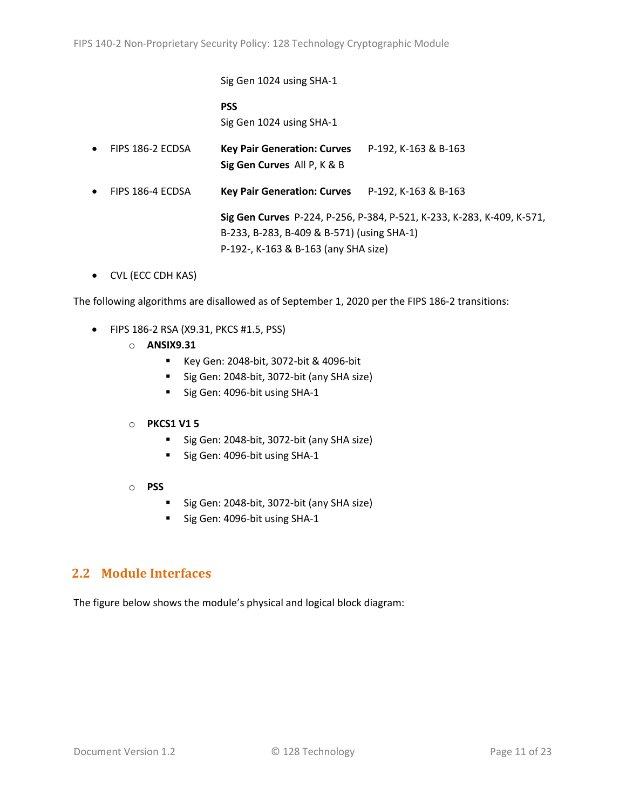Sig Gen 1024 using SHA-1 **PSS** Sig Gen 1024 using SHA-1 • FIPS 186-2 ECDSA **Key Pair Generation: Curves** P-192, K-163 & B-163 **Sig Gen Curves** All P, K & B • FIPS 186-4 ECDSA **Key Pair Generation: Curves** P-192, K-163 & B-163

> **Sig Gen Curves** P-224, P-256, P-384, P-521, K-233, K-283, K-409, K-571, B-233, B-283, B-409 & B-571) (using SHA-1) P-192-, K-163 & B-163 (any SHA size)

• CVL (ECC CDH KAS)

The following algorithms are disallowed as of September 1, 2020 per the FIPS 186-2 transitions:

- FIPS 186-2 RSA (X9.31, PKCS #1.5, PSS)
	- o **ANSIX9.31**
		- Key Gen: 2048-bit, 3072-bit & 4096-bit
		- Sig Gen: 2048-bit, 3072-bit (any SHA size)
		- Sig Gen: 4096-bit using SHA-1

#### o **PKCS1 V1 5**

- Sig Gen: 2048-bit, 3072-bit (any SHA size)
- Sig Gen: 4096-bit using SHA-1
- o **PSS**
	- Sig Gen: 2048-bit, 3072-bit (any SHA size)
	- Sig Gen: 4096-bit using SHA-1

#### <span id="page-10-0"></span>**2.2 Module Interfaces**

The figure below shows the module's physical and logical block diagram: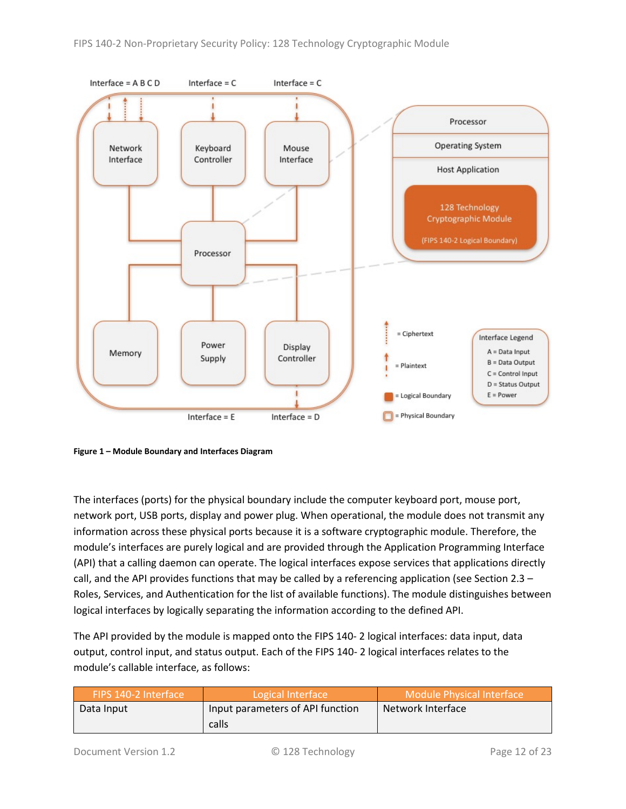

<span id="page-11-0"></span>**Figure 1 – Module Boundary and Interfaces Diagram**

The interfaces (ports) for the physical boundary include the computer keyboard port, mouse port, network port, USB ports, display and power plug. When operational, the module does not transmit any information across these physical ports because it is a software cryptographic module. Therefore, the module's interfaces are purely logical and are provided through the Application Programming Interface (API) that a calling daemon can operate. The logical interfaces expose services that applications directly call, and the API provides functions that may be called by a referencing application (see Sectio[n 2.3](#page-12-0) – [Roles, Services, and Authentication](#page-12-0) for the list of available functions). The module distinguishes between logical interfaces by logically separating the information according to the defined API.

The API provided by the module is mapped onto the FIPS 140- 2 logical interfaces: data input, data output, control input, and status output. Each of the FIPS 140- 2 logical interfaces relates to the module's callable interface, as follows:

| FIPS 140-2 Interface | Logical Interface                | <b>Module Physical Interface</b> |  |
|----------------------|----------------------------------|----------------------------------|--|
| Data Input           | Input parameters of API function | Network Interface                |  |
|                      | calls                            |                                  |  |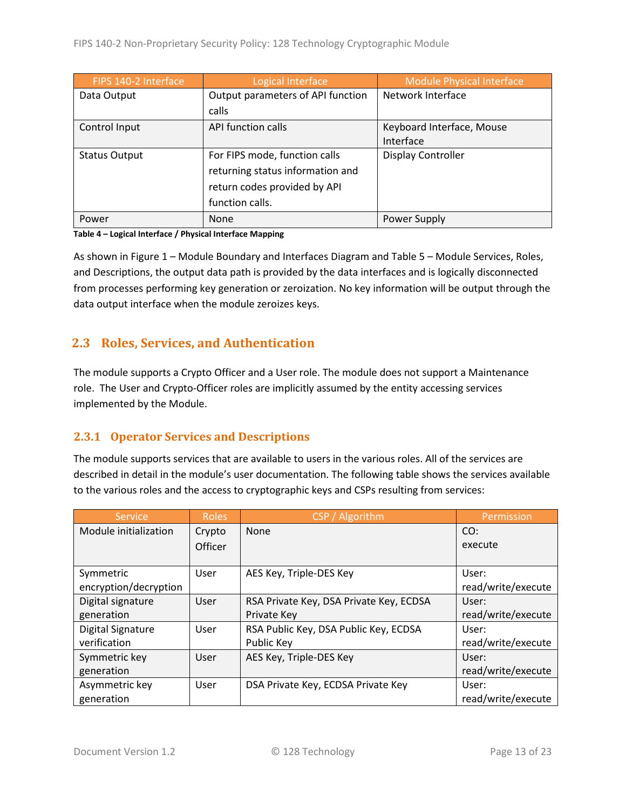| FIPS 140-2 Interface | Logical Interface                 | <b>Module Physical Interface</b> |  |
|----------------------|-----------------------------------|----------------------------------|--|
| Data Output          | Output parameters of API function | Network Interface                |  |
|                      | calls                             |                                  |  |
| Control Input        | API function calls                | Keyboard Interface, Mouse        |  |
|                      |                                   | Interface                        |  |
| <b>Status Output</b> | For FIPS mode, function calls     | Display Controller               |  |
|                      | returning status information and  |                                  |  |
|                      | return codes provided by API      |                                  |  |
|                      | function calls.                   |                                  |  |
| Power                | None                              | Power Supply                     |  |

#### **Table 4 – Logical Interface / Physical Interface Mapping**

As shown in Figure 1 – [Module Boundary and Interfaces Diagram](#page-11-0) and Table 5 – [Module Services, Roles,](#page-13-3) [and Descriptions,](#page-13-3) the output data path is provided by the data interfaces and is logically disconnected from processes performing key generation or zeroization. No key information will be output through the data output interface when the module zeroizes keys.

### <span id="page-12-0"></span>**2.3 Roles, Services, and Authentication**

The module supports a Crypto Officer and a User role. The module does not support a Maintenance role. The User and Crypto-Officer roles are implicitly assumed by the entity accessing services implemented by the Module.

#### <span id="page-12-1"></span>**2.3.1 Operator Services and Descriptions**

The module supports services that are available to users in the various roles. All of the services are described in detail in the module's user documentation. The following table shows the services available to the various roles and the access to cryptographic keys and CSPs resulting from services:

| Service               | <b>Roles</b>   | CSP / Algorithm                         | Permission         |
|-----------------------|----------------|-----------------------------------------|--------------------|
| Module initialization | Crypto         | None                                    | CO:                |
|                       | <b>Officer</b> |                                         | execute            |
|                       |                |                                         |                    |
| Symmetric             | User           | AES Key, Triple-DES Key                 | User:              |
| encryption/decryption |                |                                         | read/write/execute |
| Digital signature     | User           | RSA Private Key, DSA Private Key, ECDSA | User:              |
| generation            |                | Private Key                             | read/write/execute |
| Digital Signature     | User           | RSA Public Key, DSA Public Key, ECDSA   | User:              |
| verification          |                | Public Key                              | read/write/execute |
| Symmetric key         | User           | AES Key, Triple-DES Key                 | User:              |
| generation            |                |                                         | read/write/execute |
| Asymmetric key        | User           | DSA Private Key, ECDSA Private Key      | User:              |
| generation            |                |                                         | read/write/execute |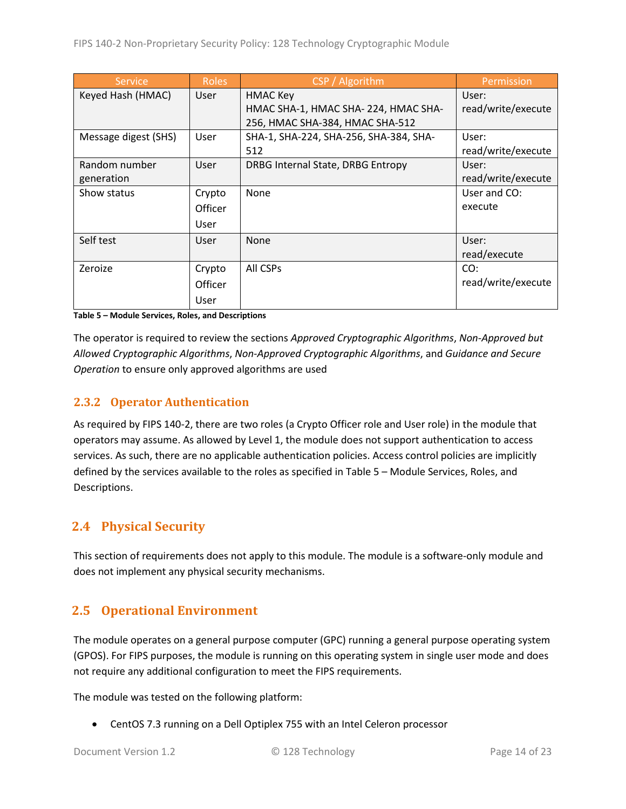| <b>Service</b>       | <b>Roles</b> | CSP / Algorithm                        | Permission         |
|----------------------|--------------|----------------------------------------|--------------------|
| Keyed Hash (HMAC)    | <b>User</b>  | <b>HMAC Key</b>                        | User:              |
|                      |              | HMAC SHA-1, HMAC SHA-224, HMAC SHA-    | read/write/execute |
|                      |              | 256, HMAC SHA-384, HMAC SHA-512        |                    |
| Message digest (SHS) | User         | SHA-1, SHA-224, SHA-256, SHA-384, SHA- | User:              |
|                      |              | 512                                    | read/write/execute |
| Random number        | User         | DRBG Internal State, DRBG Entropy      | User:              |
| generation           |              |                                        | read/write/execute |
| Show status          | Crypto       | None                                   | User and CO:       |
|                      | Officer      |                                        | execute            |
|                      | User         |                                        |                    |
| Self test            | User         | <b>None</b>                            | User:              |
|                      |              |                                        | read/execute       |
| Zeroize              | Crypto       | All CSPs                               | CO:                |
|                      | Officer      |                                        | read/write/execute |
|                      | User         |                                        |                    |

<span id="page-13-3"></span>**Table 5 – Module Services, Roles, and Descriptions**

The operator is required to review the sections *Approved Cryptographic Algorithms*, *Non-Approved but Allowed Cryptographic Algorithms*, *Non-Approved Cryptographic Algorithms*, and *Guidance and Secure Operation* to ensure only approved algorithms are used

### <span id="page-13-0"></span>**2.3.2 Operator Authentication**

As required by FIPS 140-2, there are two roles (a Crypto Officer role and User role) in the module that operators may assume. As allowed by Level 1, the module does not support authentication to access services. As such, there are no applicable authentication policies. Access control policies are implicitly defined by the services available to the roles as specified in Table 5 – [Module Services, Roles,](#page-13-3) and [Descriptions.](#page-13-3)

## <span id="page-13-1"></span>**2.4 Physical Security**

This section of requirements does not apply to this module. The module is a software-only module and does not implement any physical security mechanisms.

## <span id="page-13-2"></span>**2.5 Operational Environment**

The module operates on a general purpose computer (GPC) running a general purpose operating system (GPOS). For FIPS purposes, the module is running on this operating system in single user mode and does not require any additional configuration to meet the FIPS requirements.

The module was tested on the following platform:

• CentOS 7.3 running on a Dell Optiplex 755 with an Intel Celeron processor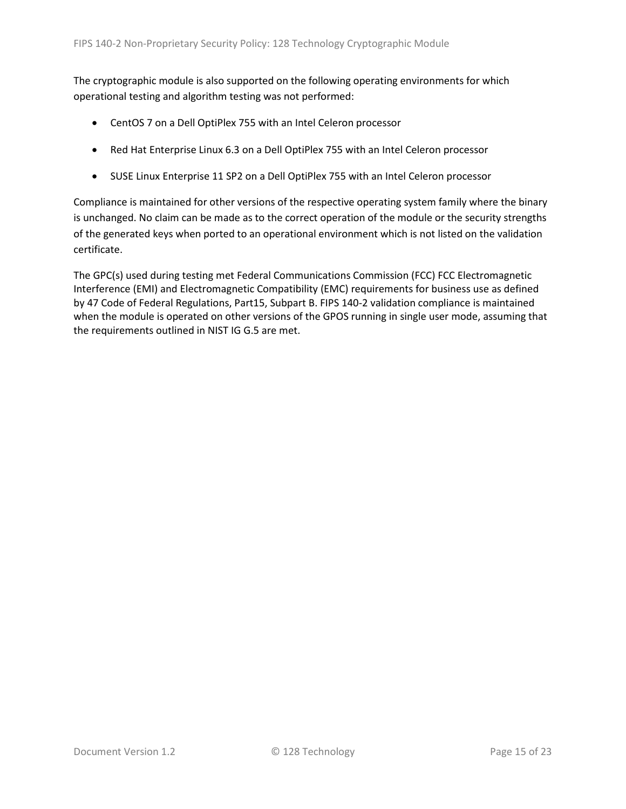The cryptographic module is also supported on the following operating environments for which operational testing and algorithm testing was not performed:

- CentOS 7 on a Dell OptiPlex 755 with an Intel Celeron processor
- Red Hat Enterprise Linux 6.3 on a Dell OptiPlex 755 with an Intel Celeron processor
- SUSE Linux Enterprise 11 SP2 on a Dell OptiPlex 755 with an Intel Celeron processor

Compliance is maintained for other versions of the respective operating system family where the binary is unchanged. No claim can be made as to the correct operation of the module or the security strengths of the generated keys when ported to an operational environment which is not listed on the validation certificate.

The GPC(s) used during testing met Federal Communications Commission (FCC) FCC Electromagnetic Interference (EMI) and Electromagnetic Compatibility (EMC) requirements for business use as defined by 47 Code of Federal Regulations, Part15, Subpart B. FIPS 140-2 validation compliance is maintained when the module is operated on other versions of the GPOS running in single user mode, assuming that the requirements outlined in NIST IG G.5 are met.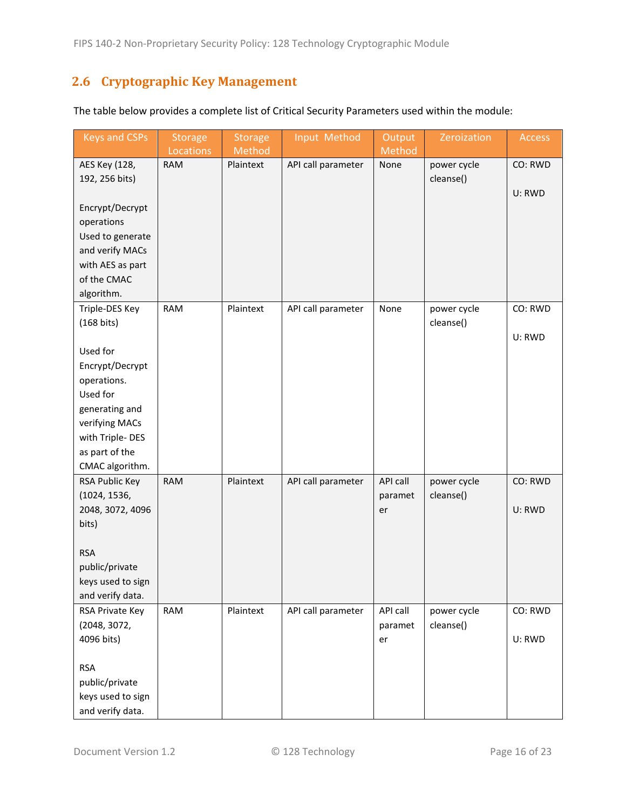## <span id="page-15-0"></span>**2.6 Cryptographic Key Management**

| <b>Keys and CSPs</b> | <b>Storage</b><br>Locations | <b>Storage</b>      | Input Method       | Output<br>Method | Zeroization | Access  |
|----------------------|-----------------------------|---------------------|--------------------|------------------|-------------|---------|
| AES Key (128,        | <b>RAM</b>                  | Method<br>Plaintext | API call parameter | None             | power cycle | CO: RWD |
| 192, 256 bits)       |                             |                     |                    |                  | cleanse()   |         |
|                      |                             |                     |                    |                  |             | U: RWD  |
| Encrypt/Decrypt      |                             |                     |                    |                  |             |         |
| operations           |                             |                     |                    |                  |             |         |
| Used to generate     |                             |                     |                    |                  |             |         |
| and verify MACs      |                             |                     |                    |                  |             |         |
| with AES as part     |                             |                     |                    |                  |             |         |
| of the CMAC          |                             |                     |                    |                  |             |         |
| algorithm.           |                             |                     |                    |                  |             |         |
| Triple-DES Key       | <b>RAM</b>                  | Plaintext           | API call parameter | None             | power cycle | CO: RWD |
| $(168 \text{ bits})$ |                             |                     |                    |                  | cleanse()   |         |
|                      |                             |                     |                    |                  |             | U: RWD  |
| Used for             |                             |                     |                    |                  |             |         |
| Encrypt/Decrypt      |                             |                     |                    |                  |             |         |
| operations.          |                             |                     |                    |                  |             |         |
| Used for             |                             |                     |                    |                  |             |         |
| generating and       |                             |                     |                    |                  |             |         |
| verifying MACs       |                             |                     |                    |                  |             |         |
| with Triple-DES      |                             |                     |                    |                  |             |         |
| as part of the       |                             |                     |                    |                  |             |         |
| CMAC algorithm.      |                             |                     |                    |                  |             |         |
| RSA Public Key       | <b>RAM</b>                  | Plaintext           | API call parameter | API call         | power cycle | CO: RWD |
| (1024, 1536,         |                             |                     |                    | paramet          | cleanse()   |         |
| 2048, 3072, 4096     |                             |                     |                    | er               |             | U: RWD  |
| bits)                |                             |                     |                    |                  |             |         |
|                      |                             |                     |                    |                  |             |         |
| <b>RSA</b>           |                             |                     |                    |                  |             |         |
| public/private       |                             |                     |                    |                  |             |         |
| keys used to sign    |                             |                     |                    |                  |             |         |
| and verify data.     |                             |                     |                    |                  |             |         |
| RSA Private Key      | <b>RAM</b>                  | Plaintext           | API call parameter | API call         | power cycle | CO: RWD |
| (2048, 3072,         |                             |                     |                    | paramet          | cleanse()   |         |
| 4096 bits)           |                             |                     |                    | er               |             | U: RWD  |
|                      |                             |                     |                    |                  |             |         |
| <b>RSA</b>           |                             |                     |                    |                  |             |         |
| public/private       |                             |                     |                    |                  |             |         |
| keys used to sign    |                             |                     |                    |                  |             |         |
| and verify data.     |                             |                     |                    |                  |             |         |

The table below provides a complete list of Critical Security Parameters used within the module: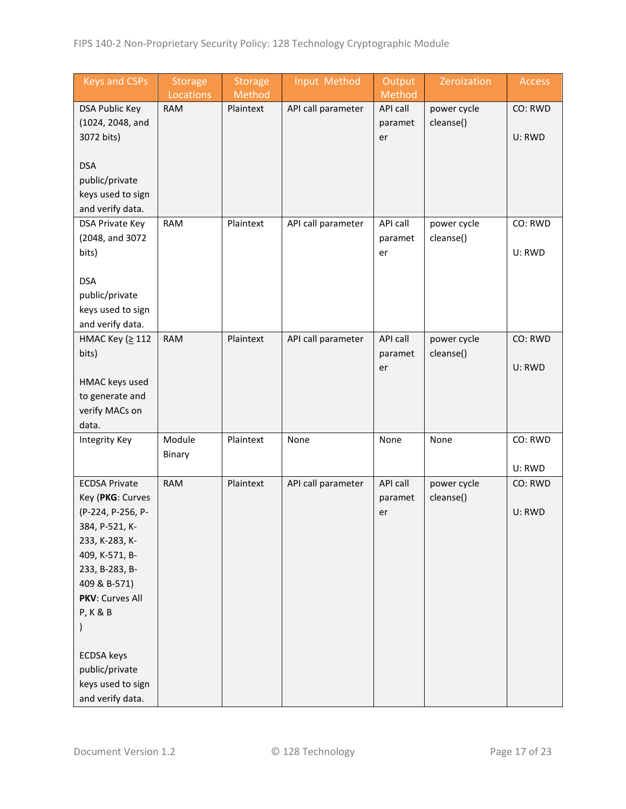| Output<br><b>Keys and CSPs</b><br><b>Storage</b><br><b>Storage</b><br>Input Method<br>Zeroization<br>Access |  |
|-------------------------------------------------------------------------------------------------------------|--|
| Locations<br>Method<br>Method<br><b>RAM</b><br>Plaintext<br>CO: RWD                                         |  |
| power cycle<br><b>DSA Public Key</b><br>API call parameter<br>API call                                      |  |
| (1024, 2048, and<br>cleanse()<br>paramet                                                                    |  |
| 3072 bits)<br>U: RWD<br>er                                                                                  |  |
| <b>DSA</b>                                                                                                  |  |
| public/private                                                                                              |  |
| keys used to sign                                                                                           |  |
| and verify data.                                                                                            |  |
| <b>RAM</b><br>Plaintext<br>API call parameter<br>API call<br>power cycle<br>CO: RWD<br>DSA Private Key      |  |
| (2048, and 3072<br>cleanse()<br>paramet                                                                     |  |
| bits)<br>U: RWD<br>er                                                                                       |  |
|                                                                                                             |  |
| <b>DSA</b>                                                                                                  |  |
| public/private                                                                                              |  |
| keys used to sign                                                                                           |  |
| and verify data.                                                                                            |  |
| НМАС Кеу (≥ 112<br>Plaintext<br>API call<br><b>RAM</b><br>API call parameter<br>power cycle<br>CO: RWD      |  |
| cleanse()<br>bits)<br>paramet                                                                               |  |
| U: RWD<br>er                                                                                                |  |
| HMAC keys used                                                                                              |  |
| to generate and                                                                                             |  |
| verify MACs on                                                                                              |  |
| data.                                                                                                       |  |
| Module<br>Plaintext<br>CO: RWD<br>None<br>None<br>None<br>Integrity Key                                     |  |
| Binary                                                                                                      |  |
| U: RWD                                                                                                      |  |
| Plaintext<br><b>RAM</b><br>API call<br>CO: RWD<br><b>ECDSA Private</b><br>API call parameter<br>power cycle |  |
| cleanse()<br>Key (PKG: Curves<br>paramet                                                                    |  |
| (P-224, P-256, P-<br>U: RWD<br>er                                                                           |  |
| 384, P-521, K-                                                                                              |  |
| 233, K-283, K-                                                                                              |  |
| 409, K-571, B-                                                                                              |  |
| 233, B-283, B-                                                                                              |  |
| 409 & B-571)                                                                                                |  |
| PKV: Curves All                                                                                             |  |
| <b>P, K &amp; B</b>                                                                                         |  |
|                                                                                                             |  |
| <b>ECDSA</b> keys                                                                                           |  |
| public/private                                                                                              |  |
| keys used to sign                                                                                           |  |
| and verify data.                                                                                            |  |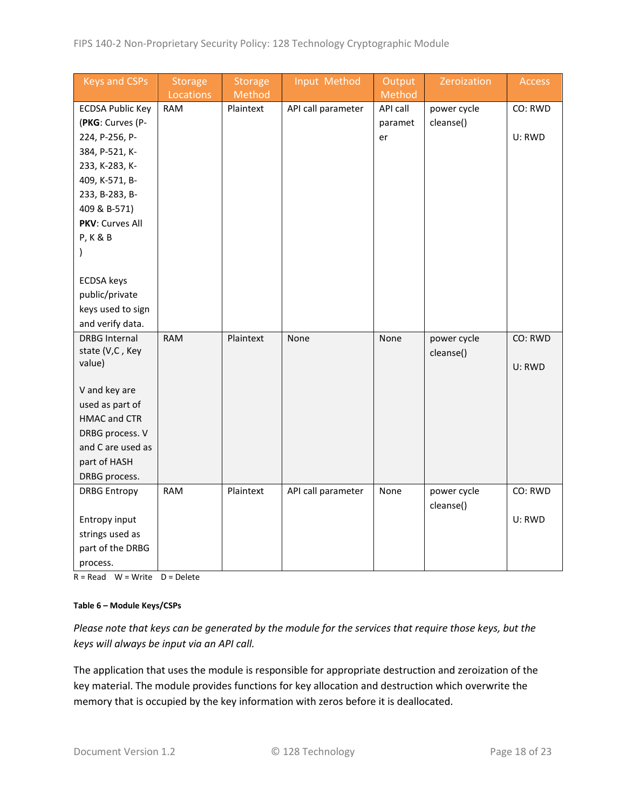| <b>Keys and CSPs</b>    | <b>Storage</b> | <b>Storage</b> | Input Method       | Output   | Zeroization | Access  |
|-------------------------|----------------|----------------|--------------------|----------|-------------|---------|
|                         | Locations      | Method         |                    | Method   |             |         |
| <b>ECDSA Public Key</b> | <b>RAM</b>     | Plaintext      | API call parameter | API call | power cycle | CO: RWD |
| (PKG: Curves (P-        |                |                |                    | paramet  | cleanse()   |         |
| 224, P-256, P-          |                |                |                    | er       |             | U: RWD  |
| 384, P-521, K-          |                |                |                    |          |             |         |
| 233, K-283, K-          |                |                |                    |          |             |         |
| 409, K-571, B-          |                |                |                    |          |             |         |
| 233, B-283, B-          |                |                |                    |          |             |         |
| 409 & B-571)            |                |                |                    |          |             |         |
| PKV: Curves All         |                |                |                    |          |             |         |
| <b>P, K &amp; B</b>     |                |                |                    |          |             |         |
| $\mathcal{E}$           |                |                |                    |          |             |         |
|                         |                |                |                    |          |             |         |
| <b>ECDSA</b> keys       |                |                |                    |          |             |         |
| public/private          |                |                |                    |          |             |         |
| keys used to sign       |                |                |                    |          |             |         |
| and verify data.        |                |                |                    |          |             |         |
| <b>DRBG Internal</b>    | <b>RAM</b>     | Plaintext      | None               | None     | power cycle | CO: RWD |
| state (V,C, Key         |                |                |                    |          | cleanse()   |         |
| value)                  |                |                |                    |          |             | U: RWD  |
|                         |                |                |                    |          |             |         |
| V and key are           |                |                |                    |          |             |         |
| used as part of         |                |                |                    |          |             |         |
| HMAC and CTR            |                |                |                    |          |             |         |
| DRBG process. V         |                |                |                    |          |             |         |
| and C are used as       |                |                |                    |          |             |         |
| part of HASH            |                |                |                    |          |             |         |
| DRBG process.           |                |                |                    |          |             |         |
| <b>DRBG Entropy</b>     | <b>RAM</b>     | Plaintext      | API call parameter | None     | power cycle | CO: RWD |
|                         |                |                |                    |          | cleanse()   |         |
| Entropy input           |                |                |                    |          |             | U: RWD  |
| strings used as         |                |                |                    |          |             |         |
| part of the DRBG        |                |                |                    |          |             |         |
| process.                |                |                |                    |          |             |         |

 $R = Read$  W = Write D = Delete

#### **Table 6 – Module Keys/CSPs**

*Please note that keys can be generated by the module for the services that require those keys, but the keys will always be input via an API call.*

The application that uses the module is responsible for appropriate destruction and zeroization of the key material. The module provides functions for key allocation and destruction which overwrite the memory that is occupied by the key information with zeros before it is deallocated.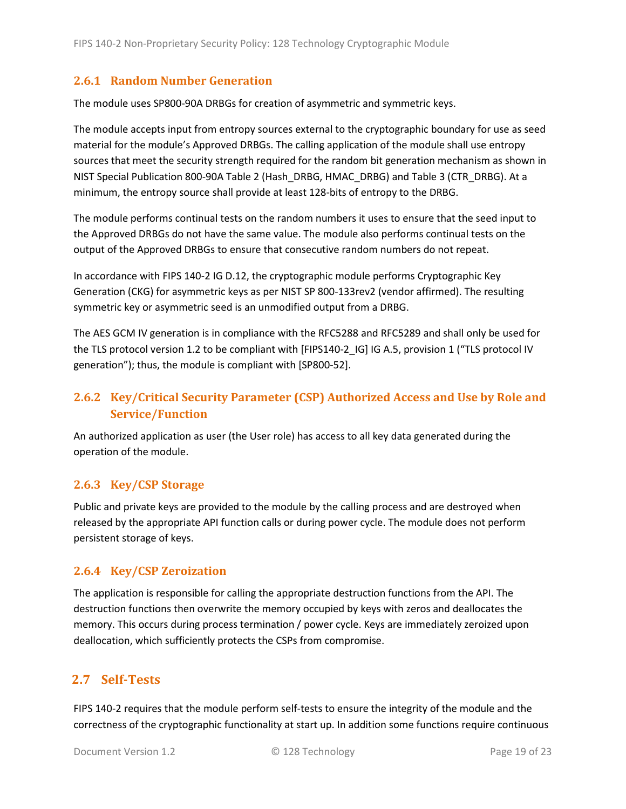### <span id="page-18-0"></span>**2.6.1 Random Number Generation**

The module uses SP800-90A DRBGs for creation of asymmetric and symmetric keys.

The module accepts input from entropy sources external to the cryptographic boundary for use as seed material for the module's Approved DRBGs. The calling application of the module shall use entropy sources that meet the security strength required for the random bit generation mechanism as shown in NIST Special Publication 800-90A Table 2 (Hash\_DRBG, HMAC\_DRBG) and Table 3 (CTR\_DRBG). At a minimum, the entropy source shall provide at least 128-bits of entropy to the DRBG.

The module performs continual tests on the random numbers it uses to ensure that the seed input to the Approved DRBGs do not have the same value. The module also performs continual tests on the output of the Approved DRBGs to ensure that consecutive random numbers do not repeat.

In accordance with FIPS 140-2 IG D.12, the cryptographic module performs Cryptographic Key Generation (CKG) for asymmetric keys as per NIST SP 800-133rev2 (vendor affirmed). The resulting symmetric key or asymmetric seed is an unmodified output from a DRBG.

The AES GCM IV generation is in compliance with the RFC5288 and RFC5289 and shall only be used for the TLS protocol version 1.2 to be compliant with [FIPS140-2 IG] IG A.5, provision 1 ("TLS protocol IV generation"); thus, the module is compliant with [SP800-52].

## <span id="page-18-1"></span>**2.6.2 Key/Critical Security Parameter (CSP) Authorized Access and Use by Role and Service/Function**

An authorized application as user (the User role) has access to all key data generated during the operation of the module.

#### <span id="page-18-2"></span>**2.6.3 Key/CSP Storage**

Public and private keys are provided to the module by the calling process and are destroyed when released by the appropriate API function calls or during power cycle. The module does not perform persistent storage of keys.

#### <span id="page-18-3"></span>**2.6.4 Key/CSP Zeroization**

The application is responsible for calling the appropriate destruction functions from the API. The destruction functions then overwrite the memory occupied by keys with zeros and deallocates the memory. This occurs during process termination / power cycle. Keys are immediately zeroized upon deallocation, which sufficiently protects the CSPs from compromise.

### <span id="page-18-4"></span>**2.7 Self-Tests**

FIPS 140-2 requires that the module perform self-tests to ensure the integrity of the module and the correctness of the cryptographic functionality at start up. In addition some functions require continuous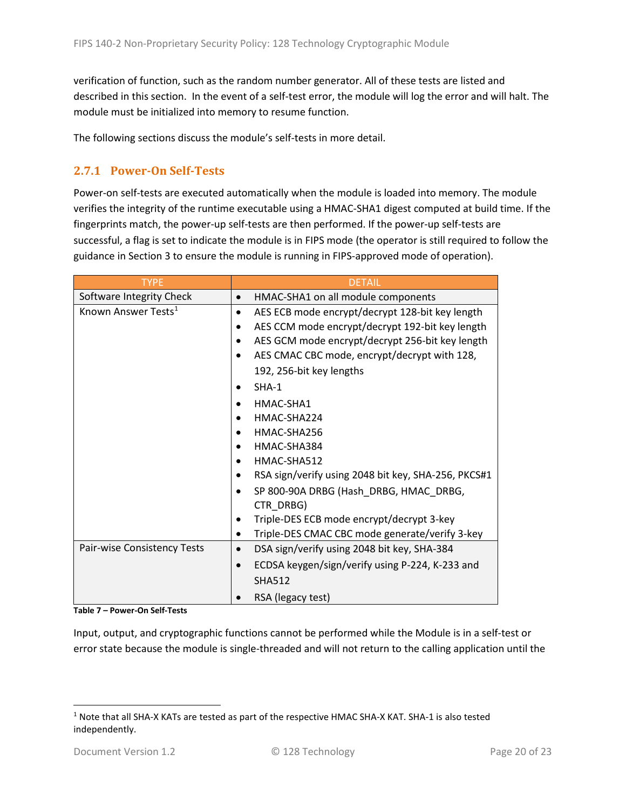verification of function, such as the random number generator. All of these tests are listed and described in this section. In the event of a self-test error, the module will log the error and will halt. The module must be initialized into memory to resume function.

The following sections discuss the module's self-tests in more detail.

### <span id="page-19-0"></span>**2.7.1 Power-On Self-Tests**

Power-on self-tests are executed automatically when the module is loaded into memory. The module verifies the integrity of the runtime executable using a HMAC-SHA1 digest computed at build time. If the fingerprints match, the power-up self-tests are then performed. If the power-up self-tests are successful, a flag is set to indicate the module is in FIPS mode (the operator is still required to follow the guidance in Section 3 to ensure the module is running in FIPS-approved mode of operation).

| <b>TYPE</b>                     | <b>DETAIL</b>                                                |
|---------------------------------|--------------------------------------------------------------|
| Software Integrity Check        | HMAC-SHA1 on all module components<br>$\bullet$              |
| Known Answer Tests <sup>1</sup> | AES ECB mode encrypt/decrypt 128-bit key length<br>$\bullet$ |
|                                 | AES CCM mode encrypt/decrypt 192-bit key length              |
|                                 | AES GCM mode encrypt/decrypt 256-bit key length              |
|                                 | AES CMAC CBC mode, encrypt/decrypt with 128,                 |
|                                 | 192, 256-bit key lengths                                     |
|                                 | $SHA-1$                                                      |
|                                 | HMAC-SHA1                                                    |
|                                 | HMAC-SHA224                                                  |
|                                 | HMAC-SHA256                                                  |
|                                 | HMAC-SHA384                                                  |
|                                 | HMAC-SHA512                                                  |
|                                 | RSA sign/verify using 2048 bit key, SHA-256, PKCS#1          |
|                                 | SP 800-90A DRBG (Hash DRBG, HMAC DRBG,                       |
|                                 | CTR DRBG)                                                    |
|                                 | Triple-DES ECB mode encrypt/decrypt 3-key                    |
|                                 | Triple-DES CMAC CBC mode generate/verify 3-key               |
| Pair-wise Consistency Tests     | DSA sign/verify using 2048 bit key, SHA-384<br>$\bullet$     |
|                                 | ECDSA keygen/sign/verify using P-224, K-233 and              |
|                                 | <b>SHA512</b>                                                |
|                                 | RSA (legacy test)                                            |

**Table 7 – Power-On Self-Tests**

Input, output, and cryptographic functions cannot be performed while the Module is in a self-test or error state because the module is single-threaded and will not return to the calling application until the

<span id="page-19-1"></span><sup>1</sup> Note that all SHA-X KATs are tested as part of the respective HMAC SHA-X KAT. SHA-1 is also tested independently.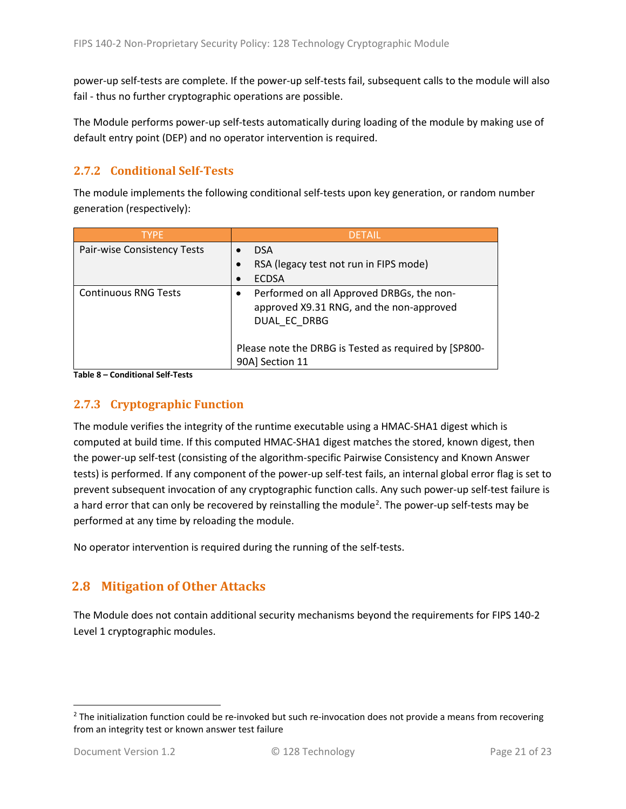power-up self-tests are complete. If the power-up self-tests fail, subsequent calls to the module will also fail - thus no further cryptographic operations are possible.

The Module performs power-up self-tests automatically during loading of the module by making use of default entry point (DEP) and no operator intervention is required.

### <span id="page-20-0"></span>**2.7.2 Conditional Self-Tests**

The module implements the following conditional self-tests upon key generation, or random number generation (respectively):

| <b>TYPF</b>                 | <b>DETAIL</b>                                                                                         |
|-----------------------------|-------------------------------------------------------------------------------------------------------|
| Pair-wise Consistency Tests | <b>DSA</b>                                                                                            |
|                             | RSA (legacy test not run in FIPS mode)                                                                |
|                             | <b>ECDSA</b>                                                                                          |
| <b>Continuous RNG Tests</b> | Performed on all Approved DRBGs, the non-<br>approved X9.31 RNG, and the non-approved<br>DUAL EC DRBG |
|                             | Please note the DRBG is Tested as required by [SP800-<br>90A] Section 11                              |

**Table 8 – Conditional Self-Tests**

#### <span id="page-20-1"></span>**2.7.3 Cryptographic Function**

The module verifies the integrity of the runtime executable using a HMAC-SHA1 digest which is computed at build time. If this computed HMAC-SHA1 digest matches the stored, known digest, then the power-up self-test (consisting of the algorithm-specific Pairwise Consistency and Known Answer tests) is performed. If any component of the power-up self-test fails, an internal global error flag is set to prevent subsequent invocation of any cryptographic function calls. Any such power-up self-test failure is a hard error that can only be recovered by reinstalling the module<sup>[2](#page-20-3)</sup>. The power-up self-tests may be performed at any time by reloading the module.

No operator intervention is required during the running of the self-tests.

### <span id="page-20-2"></span>**2.8 Mitigation of Other Attacks**

The Module does not contain additional security mechanisms beyond the requirements for FIPS 140-2 Level 1 cryptographic modules.

<span id="page-20-3"></span> $2$  The initialization function could be re-invoked but such re-invocation does not provide a means from recovering from an integrity test or known answer test failure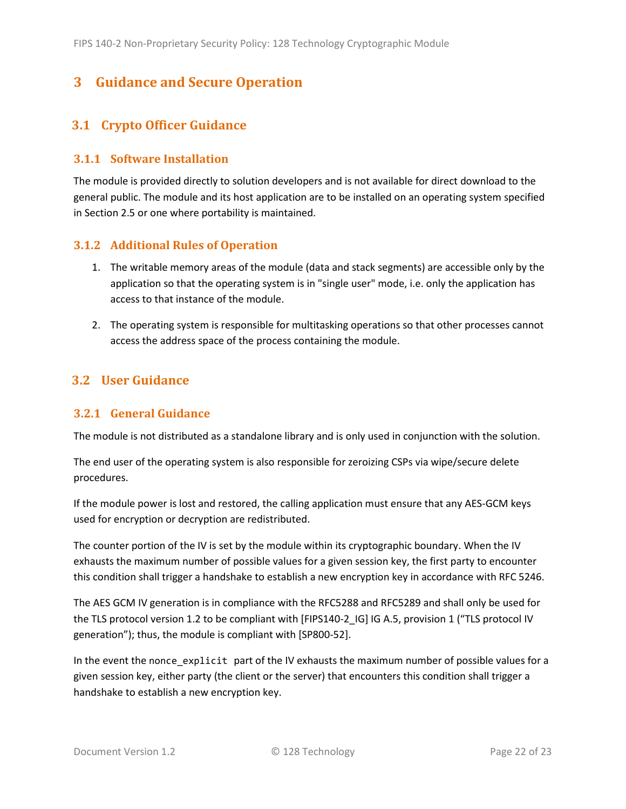## <span id="page-21-0"></span>**3 Guidance and Secure Operation**

### <span id="page-21-1"></span>**3.1 Crypto Officer Guidance**

#### <span id="page-21-2"></span>**3.1.1 Software Installation**

The module is provided directly to solution developers and is not available for direct download to the general public. The module and its host application are to be installed on an operating system specified in Section [2.5](#page-13-2) or one where portability is maintained.

#### <span id="page-21-3"></span>**3.1.2 Additional Rules of Operation**

- 1. The writable memory areas of the module (data and stack segments) are accessible only by the application so that the operating system is in "single user" mode, i.e. only the application has access to that instance of the module.
- 2. The operating system is responsible for multitasking operations so that other processes cannot access the address space of the process containing the module.

### <span id="page-21-4"></span>**3.2 User Guidance**

#### <span id="page-21-5"></span>**3.2.1 General Guidance**

The module is not distributed as a standalone library and is only used in conjunction with the solution.

The end user of the operating system is also responsible for zeroizing CSPs via wipe/secure delete procedures.

If the module power is lost and restored, the calling application must ensure that any AES-GCM keys used for encryption or decryption are redistributed.

The counter portion of the IV is set by the module within its cryptographic boundary. When the IV exhausts the maximum number of possible values for a given session key, the first party to encounter this condition shall trigger a handshake to establish a new encryption key in accordance with RFC 5246.

The AES GCM IV generation is in compliance with the RFC5288 and RFC5289 and shall only be used for the TLS protocol version 1.2 to be compliant with [FIPS140-2 IG] IG A.5, provision 1 ("TLS protocol IV generation"); thus, the module is compliant with [SP800-52].

In the event the nonce\_explicit part of the IV exhausts the maximum number of possible values for a given session key, either party (the client or the server) that encounters this condition shall trigger a handshake to establish a new encryption key.